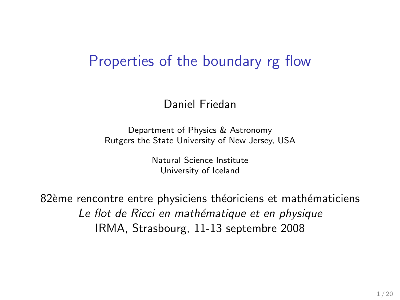### Properties of the boundary rg flow

#### Daniel Friedan

Department of Physics & Astronomy Rutgers the State University of New Jersey, USA

> Natural Science Institute University of Iceland

82ème rencontre entre physiciens théoriciens et mathématiciens Le flot de Ricci en mathématique et en physique IRMA, Strasbourg, 11-13 septembre 2008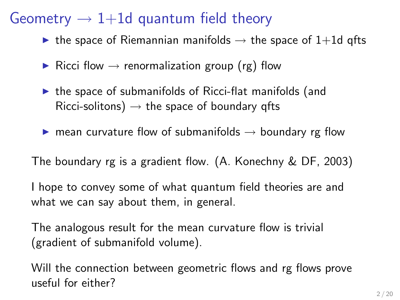## Geometry  $\rightarrow$  1+1d quantum field theory

- $\triangleright$  the space of Riemannian manifolds  $\rightarrow$  the space of 1+1d qfts
- ▶ Ricci flow  $\rightarrow$  renormalization group (rg) flow
- $\triangleright$  the space of submanifolds of Ricci-flat manifolds (and Ricci-solitons)  $\rightarrow$  the space of boundary qfts
- **If** mean curvature flow of submanifolds  $\rightarrow$  boundary rg flow

The boundary rg is a gradient flow. (A. Konechny & DF, 2003)

I hope to convey some of what quantum field theories are and what we can say about them, in general.

The analogous result for the mean curvature flow is trivial (gradient of submanifold volume).

Will the connection between geometric flows and rg flows prove useful for either?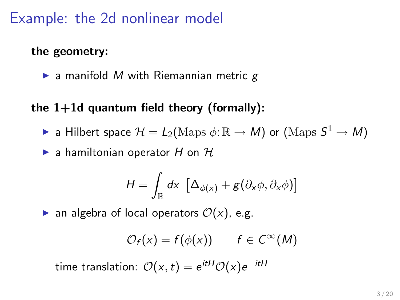## Example: the 2d nonlinear model

#### the geometry:

 $\blacktriangleright$  a manifold M with Riemannian metric  $g$ 

### the  $1+1d$  quantum field theory (formally):

- $\blacktriangleright$  a Hilbert space  $\mathcal{H} = L_2(\mathrm{Maps} \ \phi \colon \mathbb{R} \to M)$  or  $(\mathrm{Maps} \ S^1 \to M)$
- $\blacktriangleright$  a hamiltonian operator H on  $\mathcal H$

$$
H = \int_{\mathbb{R}} dx \, \left[ \Delta_{\phi(x)} + g(\partial_x \phi, \partial_x \phi) \right]
$$

**an algebra of local operators**  $\mathcal{O}(x)$ , e.g.

$$
\mathcal{O}_f(x) = f(\phi(x)) \qquad f \in C^\infty(M)
$$

time translation:  $\mathcal{O}(x,t) = e^{itH}\mathcal{O}(x)e^{-itH}$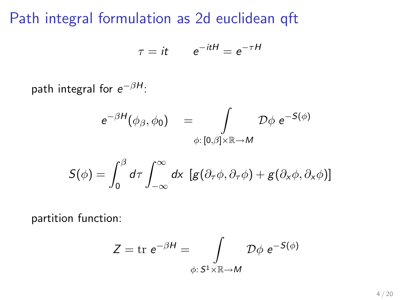### Path integral formulation as 2d euclidean qft

$$
\tau = it \qquad e^{-itH} = e^{-\tau H}
$$

path integral for  $e^{-\beta H}$ :

$$
e^{-\beta H}(\phi_{\beta}, \phi_0) = \int\limits_{\phi:[0,\beta]\times\mathbb{R}\to M} \mathcal{D}\phi \ e^{-S(\phi)}
$$

$$
S(\phi) = \int_0^\beta d\tau \int_{-\infty}^\infty dx \, [g(\partial_\tau \phi, \partial_\tau \phi) + g(\partial_x \phi, \partial_x \phi)]
$$

partition function:

$$
Z = \text{tr } e^{-\beta H} = \int\limits_{\phi: S^1 \times \mathbb{R} \to M} \mathcal{D}\phi \ e^{-S(\phi)}
$$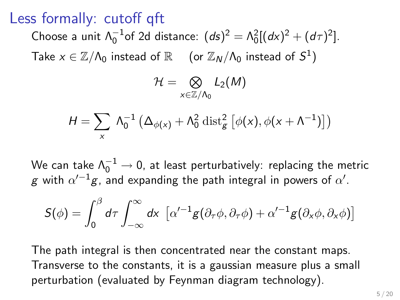### Less formally: cutoff qft

Choose a unit  $\Lambda_0^{-1}$ of 2d distance:  $(ds)^2 = \Lambda_0^2[(dx)^2 + (d\tau)^2]$ . Take  $x \in \mathbb{Z}/\Lambda_0$  instead of  $\mathbb{R}$  (or  $\mathbb{Z}_N/\Lambda_0$  instead of  $S^1$ )

$$
\mathcal{H}=\bigotimes_{x\in\mathbb{Z}/\Lambda_0}L_2(M)
$$

$$
H = \sum_{x} \Lambda_0^{-1} \left( \Delta_{\phi(x)} + \Lambda_0^2 \operatorname{dist}_{g}^2 \left[ \phi(x), \phi(x + \Lambda^{-1}) \right] \right)
$$

We can take  $\Lambda_0^{-1} \to 0$ , at least perturbatively: replacing the metric  ${\mathsf g}$  with  $\alpha'^{-1}{\mathsf g}$ , and expanding the path integral in powers of  $\alpha'.$ 

$$
S(\phi) = \int_0^\beta d\tau \int_{-\infty}^\infty dx \, \left[ \alpha'^{-1} g(\partial_\tau \phi, \partial_\tau \phi) + \alpha'^{-1} g(\partial_x \phi, \partial_x \phi) \right]
$$

The path integral is then concentrated near the constant maps. Transverse to the constants, it is a gaussian measure plus a small perturbation (evaluated by Feynman diagram technology).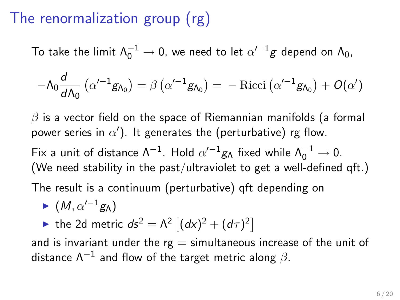# The renormalization group (rg)

To take the limit  $\Lambda_0^{-1} \to 0$ , we need to let  $\alpha'^{-1}g$  depend on  $\Lambda_0$ ,

$$
-\Lambda_0 \frac{d}{d\Lambda_0} \left( \alpha'^{-1} g_{\Lambda_0} \right) = \beta \left( \alpha'^{-1} g_{\Lambda_0} \right) = - \text{Ricci} \left( \alpha'^{-1} g_{\Lambda_0} \right) + O(\alpha')
$$

 $\beta$  is a vector field on the space of Riemannian manifolds (a formal power series in  $\alpha'$ ). It generates the (perturbative) rg flow.

Fix a unit of distance Λ<sup>-1</sup>. Hold  $\alpha'^{-1}g_\Lambda$  fixed while  $\Lambda_0^{-1} \to 0$ . (We need stability in the past/ultraviolet to get a well-defined qft.)

The result is a continuum (perturbative) qft depending on

$$
\blacktriangleright (M, \alpha'^{-1} g_{\Lambda})
$$

ightharpoonup the 2d metric  $ds^2 = \Lambda^2 \left[ (dx)^2 + (d\tau)^2 \right]$ 

and is invariant under the  $rg =$  simultaneous increase of the unit of distance  $\Lambda^{-1}$  and flow of the target metric along  $\beta.$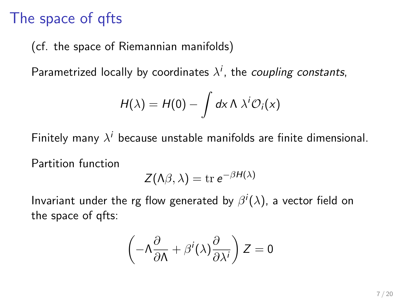## The space of qfts

(cf. the space of Riemannian manifolds)

Parametrized locally by coordinates  $\lambda^i$ , the *coupling constants*,

$$
H(\lambda) = H(0) - \int dx \, \Lambda \, \lambda^i \mathcal{O}_i(x)
$$

Finitely many  $\lambda^i$  because unstable manifolds are finite dimensional.

Partition function

$$
Z(\Lambda\beta,\lambda) = \text{tr } e^{-\beta H(\lambda)}
$$

Invariant under the rg flow generated by  $\beta^i(\lambda)$ , a vector field on the space of qfts:

$$
\left(-\Lambda \frac{\partial}{\partial \Lambda} + \beta^i(\lambda) \frac{\partial}{\partial \lambda^i}\right) Z = 0
$$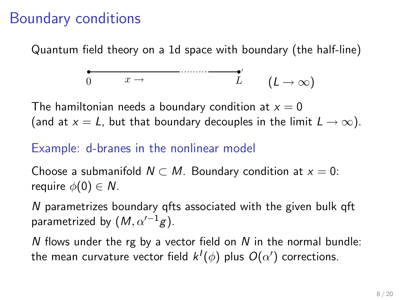### Boundary conditions

Quantum field theory on a 1d space with boundary (the half-line)

$$
\underbrace{\bullet \qquad \qquad \bullet \qquad \qquad }_{0} \qquad x \to \qquad \qquad \underbrace{L'} \qquad (L \to \infty)
$$

The hamiltonian needs a boundary condition at  $x = 0$ (and at  $x = L$ , but that boundary decouples in the limit  $L \rightarrow \infty$ ).

#### Example: d-branes in the nonlinear model

Choose a submanifold  $N \subset M$ . Boundary condition at  $x = 0$ : require  $\phi(0) \in N$ .

N parametrizes boundary qfts associated with the given bulk qft parametrized by  $(M, \alpha'^{-1}g)$ .

N flows under the rg by a vector field on  $N$  in the normal bundle: the mean curvature vector field  $k^I(\phi)$  plus  $O(\alpha')$  corrections.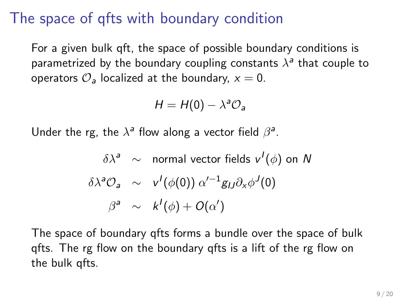## The space of qfts with boundary condition

For a given bulk qft, the space of possible boundary conditions is parametrized by the boundary coupling constants  $\lambda^a$  that couple to operators  $\mathcal{O}_a$  localized at the boundary,  $x = 0$ .

$$
H = H(0) - \lambda^a \mathcal{O}_a
$$

Under the rg, the  $\lambda^a$  flow along a vector field  $\beta^a$ .

$$
\delta \lambda^{a} \sim \text{ normal vector fields } v^{I}(\phi) \text{ on } N
$$
  

$$
\delta \lambda^{a} \mathcal{O}_{a} \sim v^{I}(\phi(0)) \alpha'^{-1} g_{IJ} \partial_{x} \phi^{J}(0)
$$
  

$$
\beta^{a} \sim k^{I}(\phi) + O(\alpha')
$$

The space of boundary qfts forms a bundle over the space of bulk qfts. The rg flow on the boundary qfts is a lift of the rg flow on the bulk qfts.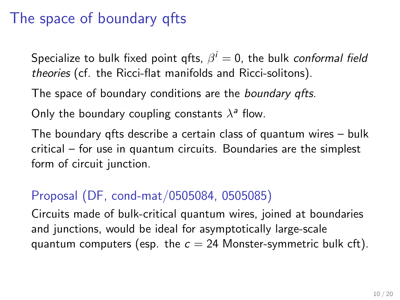## The space of boundary qfts

Specialize to bulk fixed point qfts,  $\beta^i=0$ , the bulk *conformal field* theories (cf. the Ricci-flat manifolds and Ricci-solitons).

The space of boundary conditions are the *boundary qfts*.

Only the boundary coupling constants  $\lambda^a$  flow.

The boundary qfts describe a certain class of quantum wires – bulk critical – for use in quantum circuits. Boundaries are the simplest form of circuit junction.

### Proposal (DF, cond-mat/0505084, 0505085)

Circuits made of bulk-critical quantum wires, joined at boundaries and junctions, would be ideal for asymptotically large-scale quantum computers (esp. the  $c = 24$  Monster-symmetric bulk cft).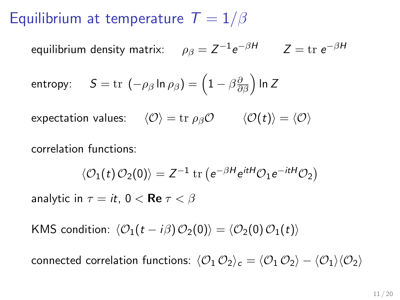## Equilibrium at temperature  $T = 1/\beta$

equilibrium density matrix:  $\rho_{\beta}=Z^{-1}e^{-\beta H} \qquad Z={\rm tr}\; e^{-\beta H}$ 

entropy: 
$$
S = \text{tr} \left( -\rho_{\beta} \ln \rho_{\beta} \right) = \left( 1 - \beta \frac{\partial}{\partial \beta} \right) \ln Z
$$

expectation values:  $\langle \mathcal{O} \rangle = \text{tr} \rho_\beta \mathcal{O} \qquad \langle \mathcal{O}(t) \rangle = \langle \mathcal{O} \rangle$ 

correlation functions:

$$
\langle \mathcal{O}_1(t) \mathcal{O}_2(0) \rangle = Z^{-1} \operatorname{tr} \left( e^{-\beta H} e^{itH} \mathcal{O}_1 e^{-itH} \mathcal{O}_2 \right)
$$

analytic in  $\tau = it$ ,  $0 < \text{Re } \tau < \beta$ 

KMS condition:  $\langle O_1(t - i\beta) O_2(0) \rangle = \langle O_2(0) O_1(t) \rangle$ 

connected correlation functions:  $\langle \mathcal{O}_1 \mathcal{O}_2 \rangle_c = \langle \mathcal{O}_1 \mathcal{O}_2 \rangle - \langle \mathcal{O}_1 \rangle \langle \mathcal{O}_2 \rangle$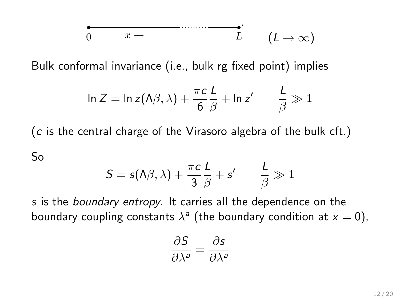$$
\underbrace{0 \qquad x \to \qquad \qquad L'} \qquad (L \to \infty)
$$

Bulk conformal invariance (i.e., bulk rg fixed point) implies

$$
\ln Z = \ln z(\Lambda \beta, \lambda) + \frac{\pi c}{6} \frac{L}{\beta} + \ln z' \qquad \frac{L}{\beta} \gg 1
$$

(c is the central charge of the Virasoro algebra of the bulk cft.)

So

$$
\mathcal{S} = \mathsf{s}(\mathsf{\Lambda}\beta,\lambda) + \frac{\pi\mathsf{c}}{3}\frac{\mathsf{L}}{\beta} + \mathsf{s}' \qquad \frac{\mathsf{L}}{\beta} \gg 1
$$

s is the boundary entropy. It carries all the dependence on the boundary coupling constants  $\lambda^a$  (the boundary condition at  $x=0$ ),

$$
\frac{\partial S}{\partial \lambda^a} = \frac{\partial s}{\partial \lambda^a}
$$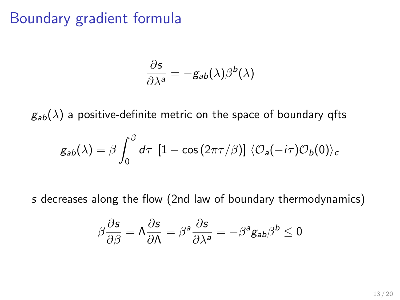### Boundary gradient formula

$$
\frac{\partial s}{\partial \lambda^a} = -g_{ab}(\lambda)\beta^b(\lambda)
$$

 $g_{ab}(\lambda)$  a positive-definite metric on the space of boundary qfts

$$
g_{ab}(\lambda) = \beta \int_0^\beta d\tau \, [1 - \cos(2\pi\tau/\beta)] \, \langle \mathcal{O}_a(-i\tau) \mathcal{O}_b(0) \rangle_c
$$

s decreases along the flow (2nd law of boundary thermodynamics)

$$
\beta\frac{\partial s}{\partial \beta}=\Lambda\frac{\partial s}{\partial \Lambda}=\beta^a\frac{\partial s}{\partial \lambda^a}=-\beta^a g_{ab}\beta^b\leq 0
$$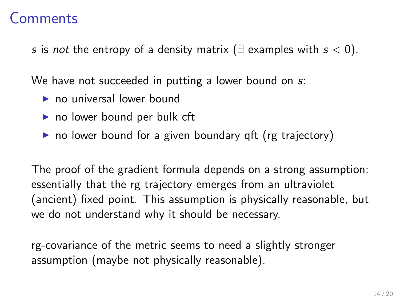### Comments

s is not the entropy of a density matrix ( $\exists$  examples with  $s < 0$ ).

We have not succeeded in putting a lower bound on s:

- $\triangleright$  no universal lower bound
- $\triangleright$  no lower bound per bulk cft
- $\triangleright$  no lower bound for a given boundary qft (rg trajectory)

The proof of the gradient formula depends on a strong assumption: essentially that the rg trajectory emerges from an ultraviolet (ancient) fixed point. This assumption is physically reasonable, but we do not understand why it should be necessary.

rg-covariance of the metric seems to need a slightly stronger assumption (maybe not physically reasonable).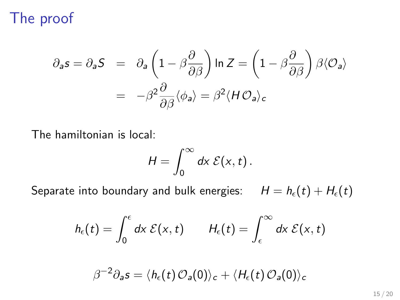### The proof

$$
\partial_{a} s = \partial_{a} S = \partial_{a} \left( 1 - \beta \frac{\partial}{\partial \beta} \right) \ln Z = \left( 1 - \beta \frac{\partial}{\partial \beta} \right) \beta \langle O_{a} \rangle
$$

$$
= -\beta^{2} \frac{\partial}{\partial \beta} \langle \phi_{a} \rangle = \beta^{2} \langle H O_{a} \rangle_{c}
$$

The hamiltonian is local:

$$
H=\int_0^\infty dx\ \mathcal{E}(x,t)\,.
$$

Separate into boundary and bulk energies:  $H = h<sub>\epsilon</sub>(t) + H<sub>\epsilon</sub>(t)$ 

$$
h_{\epsilon}(t) = \int_0^{\epsilon} dx \; \mathcal{E}(x,t) \qquad H_{\epsilon}(t) = \int_{\epsilon}^{\infty} dx \; \mathcal{E}(x,t)
$$

$$
\beta^{-2}\partial_{\pmb a} s = \langle h_\epsilon(t) \, {\mathcal O}_{\pmb a}(0) \rangle_c + \langle H_\epsilon(t) \, {\mathcal O}_{\pmb a}(0) \rangle_c
$$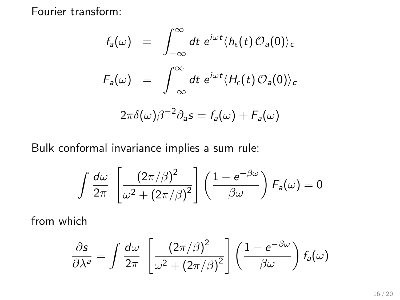Fourier transform:

$$
f_a(\omega) = \int_{-\infty}^{\infty} dt \ e^{i\omega t} \langle h_{\epsilon}(t) \mathcal{O}_a(0) \rangle_c
$$

$$
F_a(\omega) = \int_{-\infty}^{\infty} dt \ e^{i\omega t} \langle H_{\epsilon}(t) \mathcal{O}_a(0) \rangle_c
$$

$$
2\pi \delta(\omega) \beta^{-2} \partial_a s = f_a(\omega) + F_a(\omega)
$$

Bulk conformal invariance implies a sum rule:

$$
\int \frac{d\omega}{2\pi} \, \left[\frac{(2\pi/\beta)^2}{\omega^2 + (2\pi/\beta)^2}\right] \left(\frac{1 - e^{-\beta\omega}}{\beta\omega}\right) F_a(\omega) = 0
$$

from which

$$
\frac{\partial s}{\partial \lambda^a} = \int \frac{d\omega}{2\pi} \left[ \frac{(2\pi/\beta)^2}{\omega^2 + (2\pi/\beta)^2} \right] \left( \frac{1 - e^{-\beta \omega}}{\beta \omega} \right) f_a(\omega)
$$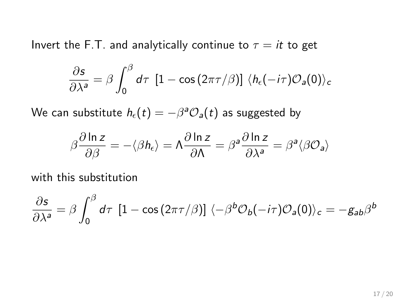Invert the F.T. and analytically continue to  $\tau = it$  to get

$$
\frac{\partial s}{\partial \lambda^a} = \beta \int_0^\beta d\tau \, \left[1 - \cos(2\pi \tau/\beta)\right] \, \langle h_\epsilon(-i\tau) \mathcal{O}_a(0) \rangle_c
$$

We can substitute  $h_\epsilon(t)=-\beta^a\mathcal{O}_a(t)$  as suggested by

$$
\beta\frac{\partial\ln z}{\partial\beta}=-\langle\beta h_{\epsilon}\rangle=\Lambda\frac{\partial\ln z}{\partial\Lambda}=\beta^a\frac{\partial\ln z}{\partial\lambda^a}=\beta^a\langle\beta\mathcal{O}_a\rangle
$$

with this substitution

$$
\frac{\partial s}{\partial \lambda^a} = \beta \int_0^\beta d\tau \, [1 - \cos(2\pi \tau/\beta)] \, \langle -\beta^b \mathcal{O}_b(-i\tau) \mathcal{O}_a(0) \rangle_c = -g_{ab}\beta^b
$$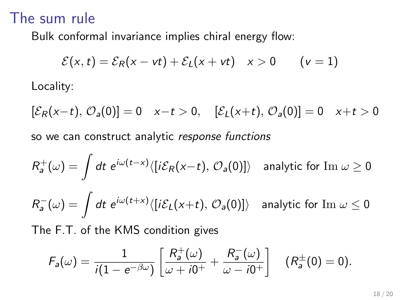### The sum rule

Bulk conformal invariance implies chiral energy flow:

$$
\mathcal{E}(x,t) = \mathcal{E}_R(x - vt) + \mathcal{E}_L(x + vt) \quad x > 0 \qquad (v = 1)
$$
  
Locality:

 $[\mathcal{E}_R(x-t), \mathcal{O}_a(0)] = 0 \quad x-t > 0, \quad [\mathcal{E}_L(x+t), \mathcal{O}_a(0)] = 0 \quad x+t > 0$ so we can construct analytic response functions

$$
R_a^+(\omega) = \int dt \ e^{i\omega(t-x)} \langle [i\mathcal{E}_R(x-t), \mathcal{O}_a(0)] \rangle \quad \text{analytic for } \text{Im } \omega \ge 0
$$
  

$$
R_a^-(\omega) = \int dt \ e^{i\omega(t+x)} \langle [i\mathcal{E}_L(x+t), \mathcal{O}_a(0)] \rangle \quad \text{analytic for } \text{Im } \omega \le 0
$$
  
The F.T. of the KMS condition gives

$$
F_a(\omega) = \frac{1}{i(1 - e^{-\beta \omega})} \left[ \frac{R_a^+(\omega)}{\omega + i0^+} + \frac{R_a^-(\omega)}{\omega - i0^+} \right] \quad (R_a^{\pm}(0) = 0).
$$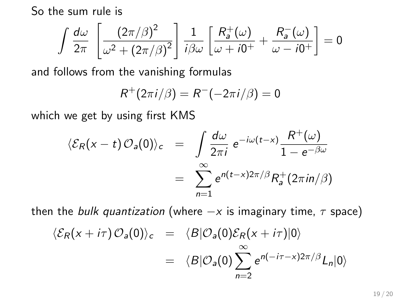So the sum rule is

$$
\int \frac{d\omega}{2\pi} \left[ \frac{\left(2\pi/\beta\right)^2}{\omega^2 + \left(2\pi/\beta\right)^2} \right] \frac{1}{i\beta\omega} \left[ \frac{R_a^+(\omega)}{\omega + i0^+} + \frac{R_a^-(\omega)}{\omega - i0^+} \right] = 0
$$

and follows from the vanishing formulas

$$
R^+(2\pi i/\beta)=R^-(-2\pi i/\beta)=0
$$

which we get by using first KMS

$$
\langle \mathcal{E}_R(x-t) \mathcal{O}_a(0) \rangle_c = \int \frac{d\omega}{2\pi i} e^{-i\omega(t-x)} \frac{R^+(\omega)}{1 - e^{-\beta\omega}}
$$
  
= 
$$
\sum_{n=1}^{\infty} e^{n(t-x)2\pi/\beta} R_a^+(2\pi i n/\beta)
$$

then the bulk quantization (where  $-x$  is imaginary time,  $\tau$  space)

$$
\langle \mathcal{E}_R(x+i\tau) \mathcal{O}_a(0) \rangle_c = \langle B | \mathcal{O}_a(0) \mathcal{E}_R(x+i\tau) | 0 \rangle
$$
  
= 
$$
\langle B | \mathcal{O}_a(0) \sum_{n=2}^{\infty} e^{n(-i\tau - x)2\pi/\beta} L_n | 0 \rangle
$$